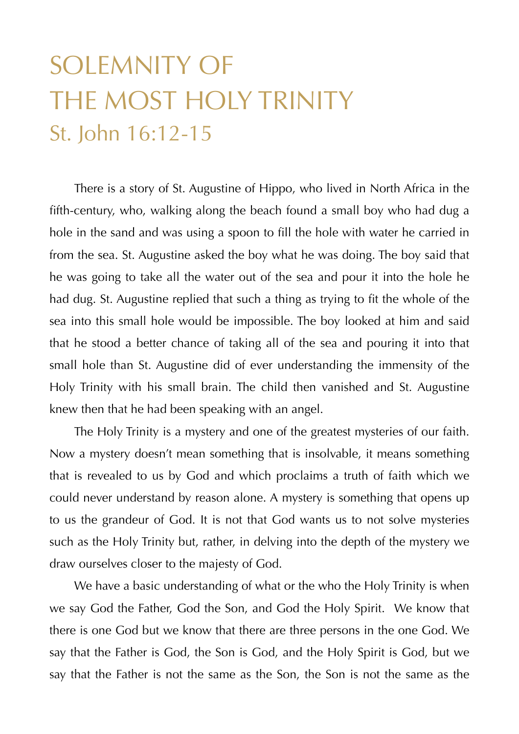## SOLEMNITY OF THE MOST HOLY TRINITY St. John 16:12-15

There is a story of St. Augustine of Hippo, who lived in North Africa in the fifth-century, who, walking along the beach found a small boy who had dug a hole in the sand and was using a spoon to fill the hole with water he carried in from the sea. St. Augustine asked the boy what he was doing. The boy said that he was going to take all the water out of the sea and pour it into the hole he had dug. St. Augustine replied that such a thing as trying to fit the whole of the sea into this small hole would be impossible. The boy looked at him and said that he stood a better chance of taking all of the sea and pouring it into that small hole than St. Augustine did of ever understanding the immensity of the Holy Trinity with his small brain. The child then vanished and St. Augustine knew then that he had been speaking with an angel.

 The Holy Trinity is a mystery and one of the greatest mysteries of our faith. Now a mystery doesn't mean something that is insolvable, it means something that is revealed to us by God and which proclaims a truth of faith which we could never understand by reason alone. A mystery is something that opens up to us the grandeur of God. It is not that God wants us to not solve mysteries such as the Holy Trinity but, rather, in delving into the depth of the mystery we draw ourselves closer to the majesty of God.

 We have a basic understanding of what or the who the Holy Trinity is when we say God the Father, God the Son, and God the Holy Spirit. We know that there is one God but we know that there are three persons in the one God. We say that the Father is God, the Son is God, and the Holy Spirit is God, but we say that the Father is not the same as the Son, the Son is not the same as the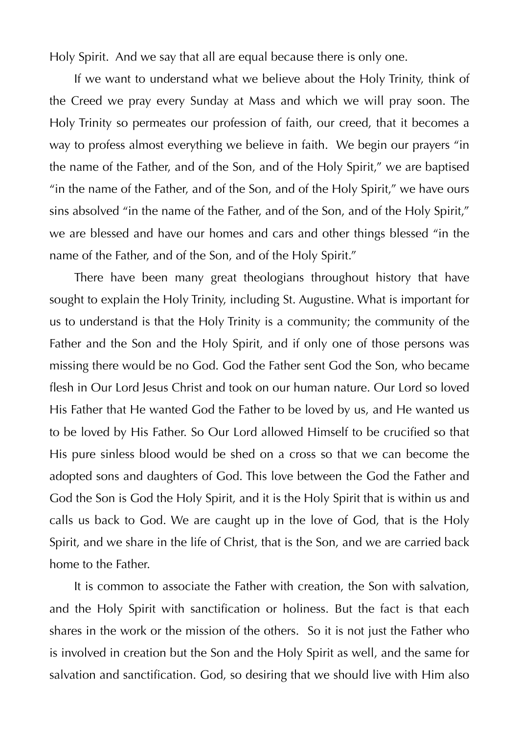Holy Spirit. And we say that all are equal because there is only one.

 If we want to understand what we believe about the Holy Trinity, think of the Creed we pray every Sunday at Mass and which we will pray soon. The Holy Trinity so permeates our profession of faith, our creed, that it becomes a way to profess almost everything we believe in faith. We begin our prayers "in the name of the Father, and of the Son, and of the Holy Spirit," we are baptised "in the name of the Father, and of the Son, and of the Holy Spirit," we have ours sins absolved "in the name of the Father, and of the Son, and of the Holy Spirit," we are blessed and have our homes and cars and other things blessed "in the name of the Father, and of the Son, and of the Holy Spirit."

 There have been many great theologians throughout history that have sought to explain the Holy Trinity, including St. Augustine. What is important for us to understand is that the Holy Trinity is a community; the community of the Father and the Son and the Holy Spirit, and if only one of those persons was missing there would be no God. God the Father sent God the Son, who became flesh in Our Lord Jesus Christ and took on our human nature. Our Lord so loved His Father that He wanted God the Father to be loved by us, and He wanted us to be loved by His Father. So Our Lord allowed Himself to be crucified so that His pure sinless blood would be shed on a cross so that we can become the adopted sons and daughters of God. This love between the God the Father and God the Son is God the Holy Spirit, and it is the Holy Spirit that is within us and calls us back to God. We are caught up in the love of God, that is the Holy Spirit, and we share in the life of Christ, that is the Son, and we are carried back home to the Father.

 It is common to associate the Father with creation, the Son with salvation, and the Holy Spirit with sanctification or holiness. But the fact is that each shares in the work or the mission of the others. So it is not just the Father who is involved in creation but the Son and the Holy Spirit as well, and the same for salvation and sanctification. God, so desiring that we should live with Him also